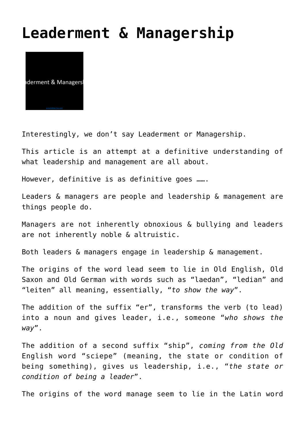## **[Leaderment & Managership](http://boblarcher.com/leadership/leaderment-managership/)**



Interestingly, we don't say Leaderment or Managership.

This article is an attempt at a definitive understanding of what leadership and management are all about.

However, definitive is as definitive goes …….

Leaders & managers are people and leadership & management are things people do.

Managers are not inherently obnoxious & bullying and leaders are not inherently noble & altruistic.

Both leaders & managers engage in leadership & management.

The origins of the word lead seem to lie in Old English, Old Saxon and Old German with words such as "laedan", "ledian" and "leiten" all meaning, essentially, "*to show the way*".

The addition of the suffix "er", transforms the verb (to lead) into a noun and gives leader, i.e., someone "*who shows the way*".

The addition of a second suffix "ship", *coming from the Old* English word "sciepe" (meaning, the state or condition of being something), gives us leadership, i.e., "*the state or condition of being a leader*".

The origins of the word manage seem to lie in the Latin word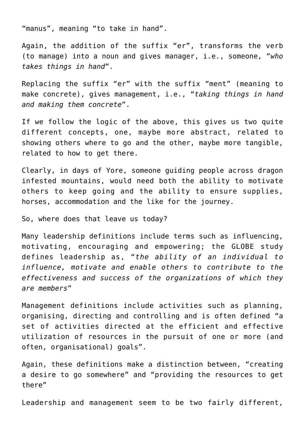"manus", meaning "to take in hand".

Again, the addition of the suffix "er", transforms the verb (to manage) into a noun and gives manager, i.e., someone, "*who takes things in hand*".

Replacing the suffix "er" with the suffix "ment" (meaning to make concrete), gives management, i.e., "*taking things in hand and making them concrete*".

If we follow the logic of the above, this gives us two quite different concepts, one, maybe more abstract, related to showing others where to go and the other, maybe more tangible, related to how to get there.

Clearly, in days of Yore, someone guiding people across dragon infested mountains, would need both the ability to motivate others to keep going and the ability to ensure supplies, horses, accommodation and the like for the journey.

So, where does that leave us today?

Many leadership definitions include terms such as influencing, motivating, encouraging and empowering; the GLOBE study defines leadership as, "*the ability of an individual to influence, motivate and enable others to contribute to the effectiveness and success of the organizations of which they are members*"

Management definitions include activities such as planning, organising, directing and controlling and is often defined "a set of activities directed at the efficient and effective utilization of resources in the pursuit of one or more (and often, organisational) goals".

Again, these definitions make a distinction between, "creating a desire to go somewhere" and "providing the resources to get there"

Leadership and management seem to be two fairly different,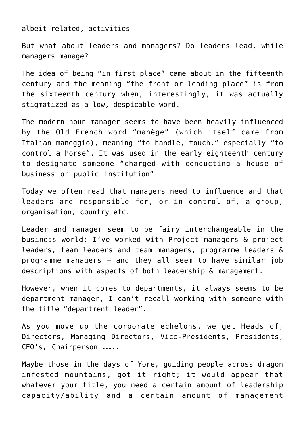albeit related, activities

But what about leaders and managers? Do leaders lead, while managers manage?

The idea of being "in first place" came about in the fifteenth century and the meaning "the front or leading place" is from the sixteenth century when, interestingly, it was actually stigmatized as a low, despicable word.

The modern noun manager seems to have been heavily influenced by the Old French word "manège" (which itself came from Italian maneggio), meaning "to handle, touch," especially "to control a horse". It was used in the early eighteenth century to designate someone "charged with conducting a house of business or public institution".

Today we often read that managers need to influence and that leaders are responsible for, or in control of, a group, organisation, country etc.

Leader and manager seem to be fairy interchangeable in the business world; I've worked with Project managers & project leaders, team leaders and team managers, programme leaders & programme managers – and they all seem to have similar job descriptions with aspects of both leadership & management.

However, when it comes to departments, it always seems to be department manager, I can't recall working with someone with the title "department leader".

As you move up the corporate echelons, we get Heads of, Directors, Managing Directors, Vice-Presidents, Presidents, CEO's, Chairperson ……..

Maybe those in the days of Yore, guiding people across dragon infested mountains, got it right; it would appear that whatever your title, you need a certain amount of leadership capacity/ability and a certain amount of management